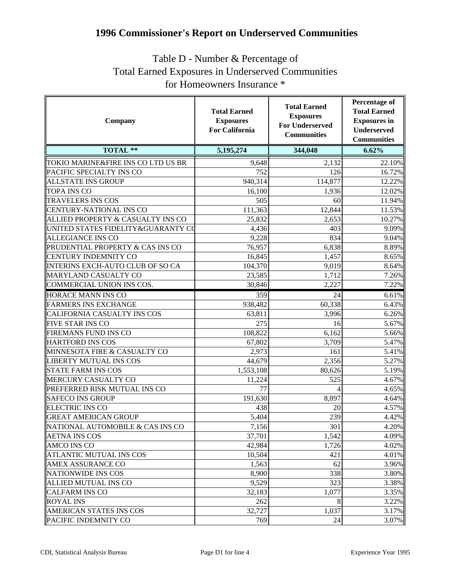## **1996 Commissioner's Report on Underserved Communities**

## Table D - Number & Percentage of Total Earned Exposures in Underserved Communities for Homeowners Insurance \*

| Company                            | <b>Total Earned</b><br><b>Exposures</b><br><b>For California</b> | <b>Total Earned</b><br><b>Exposures</b><br><b>For Underserved</b><br><b>Communities</b> | Percentage of<br><b>Total Earned</b><br><b>Exposures</b> in<br><b>Underserved</b><br><b>Communities</b> |
|------------------------------------|------------------------------------------------------------------|-----------------------------------------------------------------------------------------|---------------------------------------------------------------------------------------------------------|
| <b>TOTAL **</b>                    | 5,195,274                                                        | 344,048                                                                                 | 6.62%                                                                                                   |
| TOKIO MARINE&FIRE INS CO LTD US BR | 9,648                                                            | 2,132                                                                                   | 22.10%                                                                                                  |
| PACIFIC SPECIALTY INS CO           | 752                                                              | 126                                                                                     | 16.72%                                                                                                  |
| <b>ALLSTATE INS GROUP</b>          | 940,314                                                          | 114,877                                                                                 | 12.22%                                                                                                  |
| <b>TOPA INS CO</b>                 | 16,100                                                           | 1,936                                                                                   | 12.02%                                                                                                  |
| <b>TRAVELERS INS COS</b>           | 505                                                              | 60                                                                                      | 11.94%                                                                                                  |
| <b>CENTURY-NATIONAL INS CO</b>     | 111,363                                                          | 12,844                                                                                  | 11.53%                                                                                                  |
| ALLIED PROPERTY & CASUALTY INS CO  | 25,832                                                           | 2,653                                                                                   | 10.27%                                                                                                  |
| UNITED STATES FIDELITY&GUARANTY CO | 4,436                                                            | 403                                                                                     | 9.09%                                                                                                   |
| <b>ALLEGIANCE INS CO</b>           | 9,228                                                            | 834                                                                                     | 9.04%                                                                                                   |
| PRUDENTIAL PROPERTY & CAS INS CO   | 76,957                                                           | 6,838                                                                                   | 8.89%                                                                                                   |
| CENTURY INDEMNITY CO               | 16,845                                                           | 1,457                                                                                   | 8.65%                                                                                                   |
| INTERINS EXCH-AUTO CLUB OF SO CA   | 104,370                                                          | 9,019                                                                                   | 8.64%                                                                                                   |
| MARYLAND CASUALTY CO               | 23,585                                                           | 1,712                                                                                   | 7.26%                                                                                                   |
| <b>COMMERCIAL UNION INS COS.</b>   | 30,846                                                           | 2,227                                                                                   | 7.22%                                                                                                   |
| <b>HORACE MANN INS CO</b>          | 359                                                              | 24                                                                                      | 6.61%                                                                                                   |
| <b>FARMERS INS EXCHANGE</b>        | 938,482                                                          | 60,338                                                                                  | 6.43%                                                                                                   |
| CALIFORNIA CASUALTY INS COS        | 63,811                                                           | 3,996                                                                                   | 6.26%                                                                                                   |
| <b>FIVE STAR INS CO</b>            | 275                                                              | 16                                                                                      | 5.67%                                                                                                   |
| FIREMANS FUND INS CO               | 108,822                                                          | 6,162                                                                                   | 5.66%                                                                                                   |
| <b>HARTFORD INS COS</b>            | 67,802                                                           | 3,709                                                                                   | 5.47%                                                                                                   |
| MINNESOTA FIRE & CASUALTY CO       | 2,973                                                            | 161                                                                                     | 5.41%                                                                                                   |
| LIBERTY MUTUAL INS COS             | 44,679                                                           | 2,356                                                                                   | 5.27%                                                                                                   |
| <b>STATE FARM INS COS</b>          | 1,553,108                                                        | 80,626                                                                                  | 5.19%                                                                                                   |
| MERCURY CASUALTY CO                | 11,224                                                           | 525                                                                                     | 4.67%                                                                                                   |
| PREFERRED RISK MUTUAL INS CO       | 77                                                               |                                                                                         | 4.65%                                                                                                   |
| <b>SAFECO INS GROUP</b>            | 191,630                                                          | 8,897                                                                                   | 4.64%                                                                                                   |
| <b>ELECTRIC INS CO</b>             | 438                                                              | 20                                                                                      | 4.57%                                                                                                   |
| <b>GREAT AMERICAN GROUP</b>        | 5,404                                                            | 239                                                                                     | 4.42%                                                                                                   |
| NATIONAL AUTOMOBILE & CAS INS CO   | 7,156                                                            | 301                                                                                     | 4.20%                                                                                                   |
| <b>AETNA INS COS</b>               | 37,701                                                           | 1,542                                                                                   | 4.09%                                                                                                   |
| <b>AMCO INS CO</b>                 | 42,984                                                           | 1,726                                                                                   | 4.02%                                                                                                   |
| <b>ATLANTIC MUTUAL INS COS</b>     | 10,504                                                           | 421                                                                                     | 4.01%                                                                                                   |
| <b>AMEX ASSURANCE CO</b>           | 1,563                                                            | 62                                                                                      | 3.96%                                                                                                   |
| <b>NATIONWIDE INS COS</b>          | 8,900                                                            | 338                                                                                     | 3.80%                                                                                                   |
| ALLIED MUTUAL INS CO               | 9,529                                                            | 323                                                                                     | 3.38%                                                                                                   |
| <b>CALFARM INS CO</b>              | 32,183                                                           | 1,077                                                                                   | 3.35%                                                                                                   |
| <b>ROYAL INS</b>                   | 262                                                              | 8                                                                                       | 3.22%                                                                                                   |
| AMERICAN STATES INS COS            | 32,727                                                           | 1,037                                                                                   | 3.17%                                                                                                   |
| PACIFIC INDEMNITY CO               | 769                                                              | 24                                                                                      | 3.07%                                                                                                   |